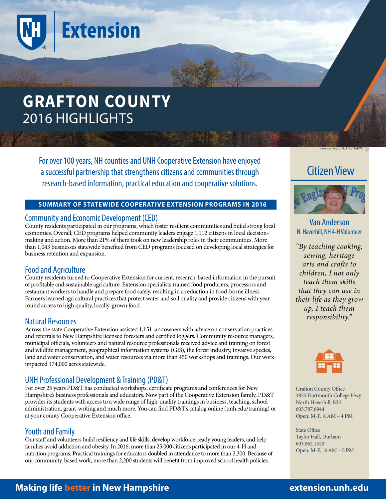

For over 100 years, NH counties and UNH Cooperative Extension have enjoyed a successful partnership that strengthens citizens and communities through research-based information, practical education and cooperative solutions.

#### **SUMMARY OF STATEWIDE COOPERATIVE EXTENSION PROGRAMS IN 2016**

### Community and Economic Development (CED)

County residents participated in our programs, which foster resilient communities and build strong local economies. Overall, CED programs helped community leaders engage 1,112 citizens in local decisionmaking and action. More than 21% of them took on new leadership roles in their communities. More than 1,043 businesses statewide benefited from CED programs focused on developing local strategies for business retention and expansion.

# Food and Agriculture

County residents turned to Cooperative Extension for current, research-based information in the pursuit of profitable and sustainable agriculture. Extension specialists trained food producers, processors and restaurant workers to handle and prepare food safely, resulting in a reduction in food-borne illness. Farmers learned agricultural practices that protect water and soil quality and provide citizens with yearround access to high quality, locally-grown food.

# Natural Resources

Across the state Cooperative Extension assisted 1,151 landowners with advice on conservation practices and referrals to New Hampshire licensed foresters and certified loggers. Community resource managers, municipal officials, volunteers and natural resource professionals received advice and training on forest and wildlife management, geographical information systems (GIS), the forest industry, invasive species, land and water conservation, and water resources via more than 450 workshops and trainings. Our work impacted 174,000 acres statewide.

# UNH Professional Development & Training (PD&T)

For over 25 years PD&T has conducted workshops, certificate programs and conferences for New Hampshire's business professionals and educators. Now part of the Cooperative Extension family, PD&T provides its students with access to a wide range of high-quality trainings in business, teaching, school administration, grant-writing and much more. You can find PD&T's catalog online (unh.edu/training) or at your county Cooperative Extension office.

# Youth and Family

Our staff and volunteers build resiliency and life skills, develop workforce-ready young leaders, and help families avoid addiction and obesity. In 2016, more than 25,000 citizens participated in our 4-H and nutrition programs. Practical trainings for educators doubled in attendance to more than 2,300. Because of our community-based work, more than 2,200 students will benefit from improved school health policies.

vant, https://flic.kr/p/Nyde7Z (co

# Citizen View



### Van Anderson N. Haverhill, NH 4-H Volunteer

*"By teaching cooking, sewing, heritage arts and crafts to children, I not only teach them skills that they can use in their life as they grow up, I teach them responsibility."*



Grafton County Office 3855 Dartmouth College Hwy North Haverhill, NH 603.787.6944 Open: M-F, 8 AM – 4 PM

State Office Taylor Hall, Durham 603.862.1520 Open: M-F, 8 AM – 5 PM

# **Making life better in New Hampshire extension.unh.edu**